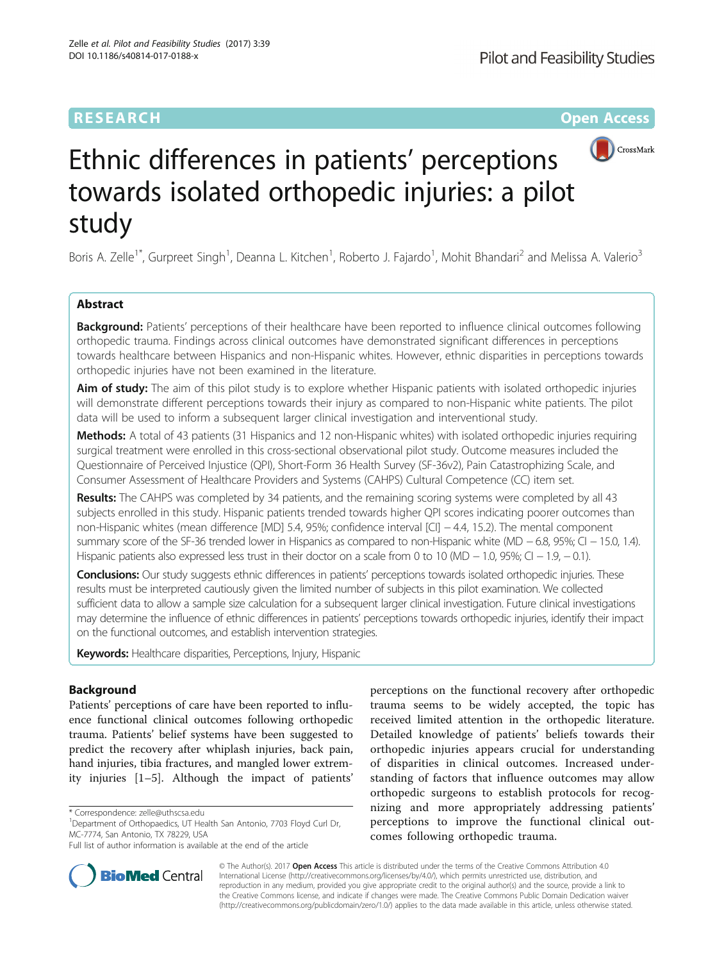# **RESEARCH CHEAR CHEAR CHEAR CHEAR CHEAR CHEAR CHEAR CHEAR CHEAR CHEAR CHEAR CHEAR CHEAR CHEAR CHEAR CHEAR CHEAR**



# Ethnic differences in patients' perceptions towards isolated orthopedic injuries: a pilot study

Boris A. Zelle<sup>1\*</sup>, Gurpreet Singh<sup>1</sup>, Deanna L. Kitchen<sup>1</sup>, Roberto J. Fajardo<sup>1</sup>, Mohit Bhandari<sup>2</sup> and Melissa A. Valerio<sup>3</sup>

## Abstract

**Background:** Patients' perceptions of their healthcare have been reported to influence clinical outcomes following orthopedic trauma. Findings across clinical outcomes have demonstrated significant differences in perceptions towards healthcare between Hispanics and non-Hispanic whites. However, ethnic disparities in perceptions towards orthopedic injuries have not been examined in the literature.

Aim of study: The aim of this pilot study is to explore whether Hispanic patients with isolated orthopedic injuries will demonstrate different perceptions towards their injury as compared to non-Hispanic white patients. The pilot data will be used to inform a subsequent larger clinical investigation and interventional study.

Methods: A total of 43 patients (31 Hispanics and 12 non-Hispanic whites) with isolated orthopedic injuries requiring surgical treatment were enrolled in this cross-sectional observational pilot study. Outcome measures included the Questionnaire of Perceived Injustice (QPI), Short-Form 36 Health Survey (SF-36v2), Pain Catastrophizing Scale, and Consumer Assessment of Healthcare Providers and Systems (CAHPS) Cultural Competence (CC) item set.

Results: The CAHPS was completed by 34 patients, and the remaining scoring systems were completed by all 43 subjects enrolled in this study. Hispanic patients trended towards higher QPI scores indicating poorer outcomes than non-Hispanic whites (mean difference [MD] 5.4, 95%; confidence interval [CI] − 4.4, 15.2). The mental component summary score of the SF-36 trended lower in Hispanics as compared to non-Hispanic white (MD − 6.8, 95%; CI − 15.0, 1.4). Hispanic patients also expressed less trust in their doctor on a scale from 0 to 10 (MD − 1.0, 95%; CI − 1.9, − 0.1).

Conclusions: Our study suggests ethnic differences in patients' perceptions towards isolated orthopedic injuries. These results must be interpreted cautiously given the limited number of subjects in this pilot examination. We collected sufficient data to allow a sample size calculation for a subsequent larger clinical investigation. Future clinical investigations may determine the influence of ethnic differences in patients' perceptions towards orthopedic injuries, identify their impact on the functional outcomes, and establish intervention strategies.

Keywords: Healthcare disparities, Perceptions, Injury, Hispanic

### Background

Patients' perceptions of care have been reported to influence functional clinical outcomes following orthopedic trauma. Patients' belief systems have been suggested to predict the recovery after whiplash injuries, back pain, hand injuries, tibia fractures, and mangled lower extremity injuries [[1](#page-5-0)–[5\]](#page-5-0). Although the impact of patients'

perceptions on the functional recovery after orthopedic trauma seems to be widely accepted, the topic has received limited attention in the orthopedic literature. Detailed knowledge of patients' beliefs towards their orthopedic injuries appears crucial for understanding of disparities in clinical outcomes. Increased understanding of factors that influence outcomes may allow orthopedic surgeons to establish protocols for recognizing and more appropriately addressing patients' perceptions to improve the functional clinical outcomes following orthopedic trauma.



© The Author(s). 2017 **Open Access** This article is distributed under the terms of the Creative Commons Attribution 4.0 International License [\(http://creativecommons.org/licenses/by/4.0/](http://creativecommons.org/licenses/by/4.0/)), which permits unrestricted use, distribution, and reproduction in any medium, provided you give appropriate credit to the original author(s) and the source, provide a link to the Creative Commons license, and indicate if changes were made. The Creative Commons Public Domain Dedication waiver [\(http://creativecommons.org/publicdomain/zero/1.0/](http://creativecommons.org/publicdomain/zero/1.0/)) applies to the data made available in this article, unless otherwise stated.

<sup>\*</sup> Correspondence: [zelle@uthscsa.edu](mailto:zelle@uthscsa.edu) <sup>1</sup>

<sup>&</sup>lt;sup>1</sup>Department of Orthopaedics, UT Health San Antonio, 7703 Floyd Curl Dr, MC-7774, San Antonio, TX 78229, USA

Full list of author information is available at the end of the article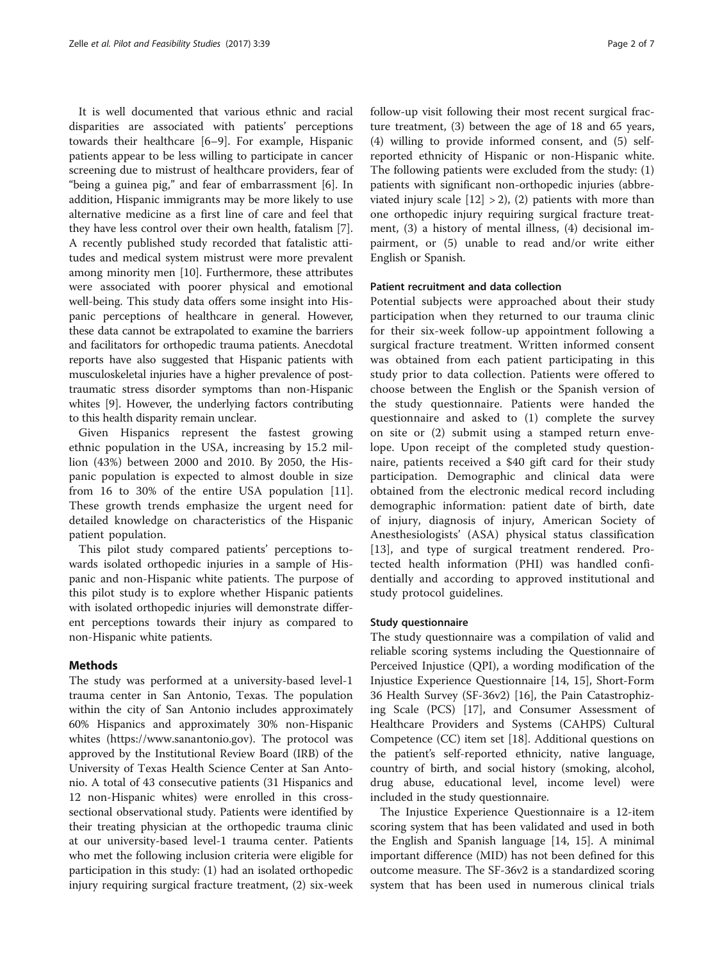It is well documented that various ethnic and racial disparities are associated with patients' perceptions towards their healthcare [\[6](#page-5-0)–[9](#page-5-0)]. For example, Hispanic patients appear to be less willing to participate in cancer screening due to mistrust of healthcare providers, fear of "being a guinea pig," and fear of embarrassment [[6\]](#page-5-0). In addition, Hispanic immigrants may be more likely to use alternative medicine as a first line of care and feel that they have less control over their own health, fatalism [\[7](#page-5-0)]. A recently published study recorded that fatalistic attitudes and medical system mistrust were more prevalent among minority men [\[10\]](#page-5-0). Furthermore, these attributes were associated with poorer physical and emotional well-being. This study data offers some insight into Hispanic perceptions of healthcare in general. However, these data cannot be extrapolated to examine the barriers and facilitators for orthopedic trauma patients. Anecdotal reports have also suggested that Hispanic patients with musculoskeletal injuries have a higher prevalence of posttraumatic stress disorder symptoms than non-Hispanic whites [[9](#page-5-0)]. However, the underlying factors contributing to this health disparity remain unclear.

Given Hispanics represent the fastest growing ethnic population in the USA, increasing by 15.2 million (43%) between 2000 and 2010. By 2050, the Hispanic population is expected to almost double in size from 16 to 30% of the entire USA population [\[11](#page-5-0)]. These growth trends emphasize the urgent need for detailed knowledge on characteristics of the Hispanic patient population.

This pilot study compared patients' perceptions towards isolated orthopedic injuries in a sample of Hispanic and non-Hispanic white patients. The purpose of this pilot study is to explore whether Hispanic patients with isolated orthopedic injuries will demonstrate different perceptions towards their injury as compared to non-Hispanic white patients.

#### Methods

The study was performed at a university-based level-1 trauma center in San Antonio, Texas. The population within the city of San Antonio includes approximately 60% Hispanics and approximately 30% non-Hispanic whites ([https://www.sanantonio.gov\)](https://www.sanantonio.gov). The protocol was approved by the Institutional Review Board (IRB) of the University of Texas Health Science Center at San Antonio. A total of 43 consecutive patients (31 Hispanics and 12 non-Hispanic whites) were enrolled in this crosssectional observational study. Patients were identified by their treating physician at the orthopedic trauma clinic at our university-based level-1 trauma center. Patients who met the following inclusion criteria were eligible for participation in this study: (1) had an isolated orthopedic injury requiring surgical fracture treatment, (2) six-week follow-up visit following their most recent surgical fracture treatment, (3) between the age of 18 and 65 years, (4) willing to provide informed consent, and (5) selfreported ethnicity of Hispanic or non-Hispanic white. The following patients were excluded from the study: (1) patients with significant non-orthopedic injuries (abbreviated injury scale  $[12] > 2$  $[12] > 2$ ),  $(2)$  patients with more than one orthopedic injury requiring surgical fracture treatment, (3) a history of mental illness, (4) decisional impairment, or (5) unable to read and/or write either English or Spanish.

#### Patient recruitment and data collection

Potential subjects were approached about their study participation when they returned to our trauma clinic for their six-week follow-up appointment following a surgical fracture treatment. Written informed consent was obtained from each patient participating in this study prior to data collection. Patients were offered to choose between the English or the Spanish version of the study questionnaire. Patients were handed the questionnaire and asked to (1) complete the survey on site or (2) submit using a stamped return envelope. Upon receipt of the completed study questionnaire, patients received a \$40 gift card for their study participation. Demographic and clinical data were obtained from the electronic medical record including demographic information: patient date of birth, date of injury, diagnosis of injury, American Society of Anesthesiologists' (ASA) physical status classification [[13\]](#page-5-0), and type of surgical treatment rendered. Protected health information (PHI) was handled confidentially and according to approved institutional and study protocol guidelines.

#### Study questionnaire

The study questionnaire was a compilation of valid and reliable scoring systems including the Questionnaire of Perceived Injustice (QPI), a wording modification of the Injustice Experience Questionnaire [\[14](#page-5-0), [15\]](#page-5-0), Short-Form 36 Health Survey (SF-36v2) [\[16](#page-5-0)], the Pain Catastrophizing Scale (PCS) [\[17](#page-5-0)], and Consumer Assessment of Healthcare Providers and Systems (CAHPS) Cultural Competence (CC) item set [\[18](#page-5-0)]. Additional questions on the patient's self-reported ethnicity, native language, country of birth, and social history (smoking, alcohol, drug abuse, educational level, income level) were included in the study questionnaire.

The Injustice Experience Questionnaire is a 12-item scoring system that has been validated and used in both the English and Spanish language [[14](#page-5-0), [15](#page-5-0)]. A minimal important difference (MID) has not been defined for this outcome measure. The SF-36v2 is a standardized scoring system that has been used in numerous clinical trials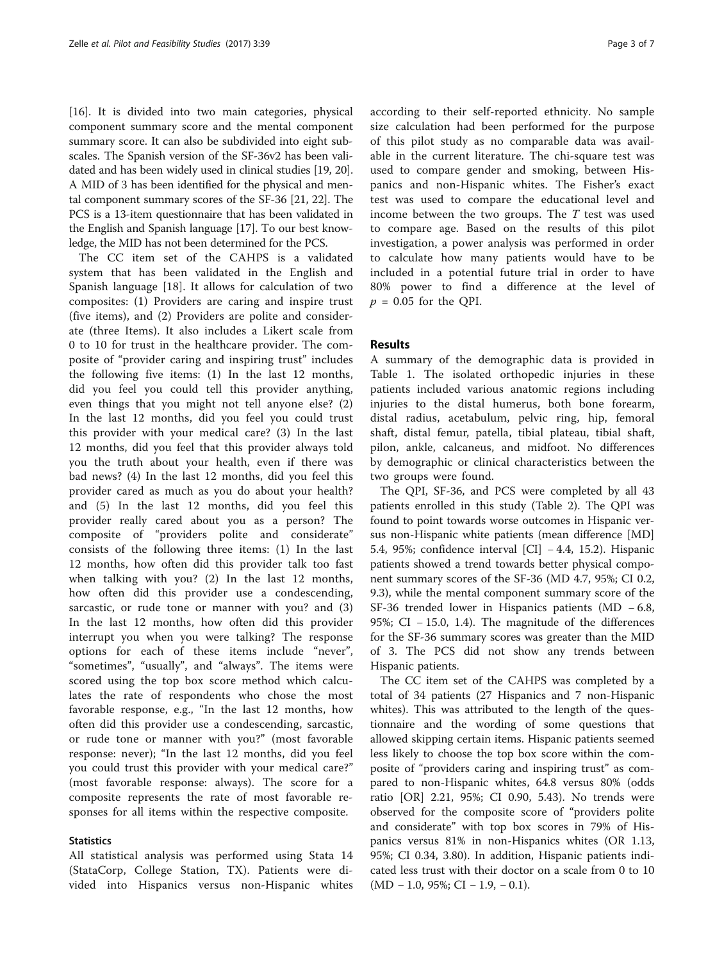[[16\]](#page-5-0). It is divided into two main categories, physical component summary score and the mental component summary score. It can also be subdivided into eight subscales. The Spanish version of the SF-36v2 has been validated and has been widely used in clinical studies [\[19, 20](#page-5-0)]. A MID of 3 has been identified for the physical and mental component summary scores of the SF-36 [\[21, 22](#page-6-0)]. The PCS is a 13-item questionnaire that has been validated in the English and Spanish language [\[17\]](#page-5-0). To our best knowledge, the MID has not been determined for the PCS.

The CC item set of the CAHPS is a validated system that has been validated in the English and Spanish language [\[18](#page-5-0)]. It allows for calculation of two composites: (1) Providers are caring and inspire trust (five items), and (2) Providers are polite and considerate (three Items). It also includes a Likert scale from 0 to 10 for trust in the healthcare provider. The composite of "provider caring and inspiring trust" includes the following five items: (1) In the last 12 months, did you feel you could tell this provider anything, even things that you might not tell anyone else? (2) In the last 12 months, did you feel you could trust this provider with your medical care? (3) In the last 12 months, did you feel that this provider always told you the truth about your health, even if there was bad news? (4) In the last 12 months, did you feel this provider cared as much as you do about your health? and (5) In the last 12 months, did you feel this provider really cared about you as a person? The composite of "providers polite and considerate" consists of the following three items: (1) In the last 12 months, how often did this provider talk too fast when talking with you? (2) In the last 12 months, how often did this provider use a condescending, sarcastic, or rude tone or manner with you? and (3) In the last 12 months, how often did this provider interrupt you when you were talking? The response options for each of these items include "never", "sometimes", "usually", and "always". The items were scored using the top box score method which calculates the rate of respondents who chose the most favorable response, e.g., "In the last 12 months, how often did this provider use a condescending, sarcastic, or rude tone or manner with you?" (most favorable response: never); "In the last 12 months, did you feel you could trust this provider with your medical care?" (most favorable response: always). The score for a composite represents the rate of most favorable responses for all items within the respective composite.

#### **Statistics**

All statistical analysis was performed using Stata 14 (StataCorp, College Station, TX). Patients were divided into Hispanics versus non-Hispanic whites according to their self-reported ethnicity. No sample size calculation had been performed for the purpose of this pilot study as no comparable data was available in the current literature. The chi-square test was used to compare gender and smoking, between Hispanics and non-Hispanic whites. The Fisher's exact test was used to compare the educational level and income between the two groups. The  $T$  test was used to compare age. Based on the results of this pilot investigation, a power analysis was performed in order to calculate how many patients would have to be included in a potential future trial in order to have 80% power to find a difference at the level of  $p = 0.05$  for the QPI.

#### Results

A summary of the demographic data is provided in Table [1](#page-3-0). The isolated orthopedic injuries in these patients included various anatomic regions including injuries to the distal humerus, both bone forearm, distal radius, acetabulum, pelvic ring, hip, femoral shaft, distal femur, patella, tibial plateau, tibial shaft, pilon, ankle, calcaneus, and midfoot. No differences by demographic or clinical characteristics between the two groups were found.

The QPI, SF-36, and PCS were completed by all 43 patients enrolled in this study (Table [2](#page-3-0)). The QPI was found to point towards worse outcomes in Hispanic versus non-Hispanic white patients (mean difference [MD] 5.4, 95%; confidence interval [CI] − 4.4, 15.2). Hispanic patients showed a trend towards better physical component summary scores of the SF-36 (MD 4.7, 95%; CI 0.2, 9.3), while the mental component summary score of the SF-36 trended lower in Hispanics patients (MD − 6.8, 95%; CI − 15.0, 1.4). The magnitude of the differences for the SF-36 summary scores was greater than the MID of 3. The PCS did not show any trends between Hispanic patients.

The CC item set of the CAHPS was completed by a total of 34 patients (27 Hispanics and 7 non-Hispanic whites). This was attributed to the length of the questionnaire and the wording of some questions that allowed skipping certain items. Hispanic patients seemed less likely to choose the top box score within the composite of "providers caring and inspiring trust" as compared to non-Hispanic whites, 64.8 versus 80% (odds ratio [OR] 2.21, 95%; CI 0.90, 5.43). No trends were observed for the composite score of "providers polite and considerate" with top box scores in 79% of Hispanics versus 81% in non-Hispanics whites (OR 1.13, 95%; CI 0.34, 3.80). In addition, Hispanic patients indicated less trust with their doctor on a scale from 0 to 10 (MD − 1.0, 95%; CI − 1.9, − 0.1).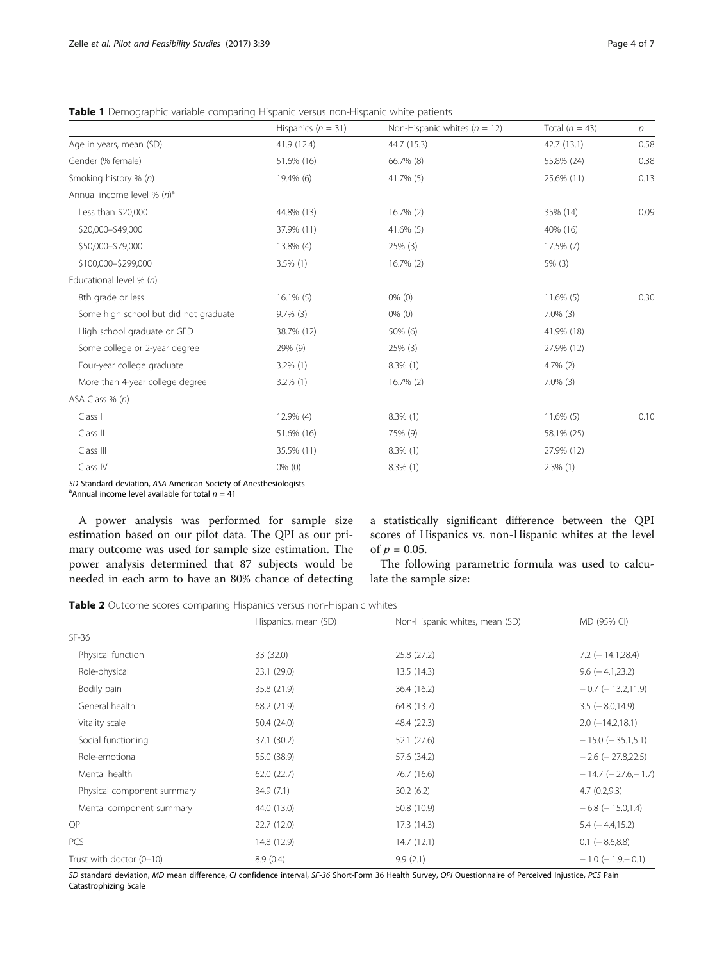<span id="page-3-0"></span>

| Table 1 Demographic variable comparing Hispanic versus non-Hispanic white patients |  |  |
|------------------------------------------------------------------------------------|--|--|
|                                                                                    |  |  |

|                                       | Hispanics ( $n = 31$ ) | Non-Hispanic whites $(n = 12)$ | Total $(n = 43)$ | р    |
|---------------------------------------|------------------------|--------------------------------|------------------|------|
| Age in years, mean (SD)               | 41.9 (12.4)            | 44.7 (15.3)                    | 42.7 (13.1)      | 0.58 |
| Gender (% female)                     | 51.6% (16)             | 66.7% (8)                      | 55.8% (24)       | 0.38 |
| Smoking history % (n)                 | 19.4% (6)              | 41.7% (5)                      | 25.6% (11)       | 0.13 |
| Annual income level % $(n)^a$         |                        |                                |                  |      |
| Less than \$20,000                    | 44.8% (13)             | 16.7% (2)                      | 35% (14)         | 0.09 |
| \$20,000-\$49,000                     | 37.9% (11)             | 41.6% (5)                      | 40% (16)         |      |
| \$50,000-\$79,000                     | 13.8% (4)              | 25% (3)                        | 17.5% (7)        |      |
| \$100,000-\$299,000                   | $3.5\%$ (1)            | 16.7% (2)                      | $5%$ (3)         |      |
| Educational level % (n)               |                        |                                |                  |      |
| 8th grade or less                     | $16.1\%$ (5)           | $0\%$ (0)                      | $11.6\%$ (5)     | 0.30 |
| Some high school but did not graduate | $9.7\%$ (3)            | $0\%$ (0)                      | $7.0\%$ (3)      |      |
| High school graduate or GED           | 38.7% (12)             | 50% (6)                        | 41.9% (18)       |      |
| Some college or 2-year degree         | 29% (9)                | 25% (3)                        | 27.9% (12)       |      |
| Four-year college graduate            | $3.2\%$ (1)            | $8.3\%$ (1)                    | $4.7\%$ (2)      |      |
| More than 4-year college degree       | $3.2\%$ (1)            | 16.7% (2)                      | $7.0\%$ (3)      |      |
| ASA Class % (n)                       |                        |                                |                  |      |
| Class I                               | $12.9\%$ (4)           | $8.3\%$ (1)                    | $11.6\%$ (5)     | 0.10 |
| Class II                              | 51.6% (16)             | 75% (9)                        | 58.1% (25)       |      |
| Class III                             | 35.5% (11)             | $8.3\%$ (1)                    | 27.9% (12)       |      |
| Class IV                              | $0\%$ (0)              | $8.3\%$ (1)                    | $2.3\%$ (1)      |      |

SD Standard deviation, ASA American Society of Anesthesiologists

<sup>a</sup> Annual income level available for total  $n = 41$ 

A power analysis was performed for sample size estimation based on our pilot data. The QPI as our primary outcome was used for sample size estimation. The power analysis determined that 87 subjects would be needed in each arm to have an 80% chance of detecting a statistically significant difference between the QPI scores of Hispanics vs. non-Hispanic whites at the level of  $p = 0.05$ .

The following parametric formula was used to calculate the sample size:

**Table 2** Outcome scores comparing Hispanics versus non-Hispanic whites

|                            | Hispanics, mean (SD) | Non-Hispanic whites, mean (SD) | MD (95% CI)                  |
|----------------------------|----------------------|--------------------------------|------------------------------|
| SF-36                      |                      |                                |                              |
| Physical function          | 33 (32.0)            | 25.8(27.2)                     | $7.2$ ( $-14.1,28.4$ )       |
| Role-physical              | 23.1(29.0)           | 13.5(14.3)                     | $9.6$ ( $-4.1,23.2$ )        |
| Bodily pain                | 35.8 (21.9)          | 36.4 (16.2)                    | $-0.7$ ( $-13.2,11.9$ )      |
| General health             | 68.2 (21.9)          | 64.8 (13.7)                    | $3.5$ ( $-8.0,14.9$ )        |
| Vitality scale             | 50.4(24.0)           | 48.4 (22.3)                    | $2.0$ ( $-14.2,18.1$ )       |
| Social functioning         | 37.1 (30.2)          | 52.1 (27.6)                    | $-15.0$ ( $-35.1,5.1$ )      |
| Role-emotional             | 55.0 (38.9)          | 57.6 (34.2)                    | $-2.6$ ( $-27.8,22.5$ )      |
| Mental health              | 62.0(22.7)           | 76.7 (16.6)                    | $-14.7$ ( $-27.6$ , $-1.7$ ) |
| Physical component summary | 34.9(7.1)            | 30.2(6.2)                      | 4.7(0.2, 9.3)                |
| Mental component summary   | 44.0 (13.0)          | 50.8 (10.9)                    | $-6.8$ ( $-15.0,1.4$ )       |
| <b>QPI</b>                 | 22.7(12.0)           | 17.3(14.3)                     | $5.4$ ( $-4.4,15.2$ )        |
| PCS                        | 14.8 (12.9)          | 14.7(12.1)                     | $0.1$ (-8.6,8.8)             |
| Trust with doctor (0-10)   | 8.9(0.4)             | 9.9(2.1)                       | $-1.0$ ( $-1.9$ , $-0.1$ )   |

SD standard deviation, MD mean difference, CI confidence interval, SF-36 Short-Form 36 Health Survey, QPI Questionnaire of Perceived Injustice, PCS Pain Catastrophizing Scale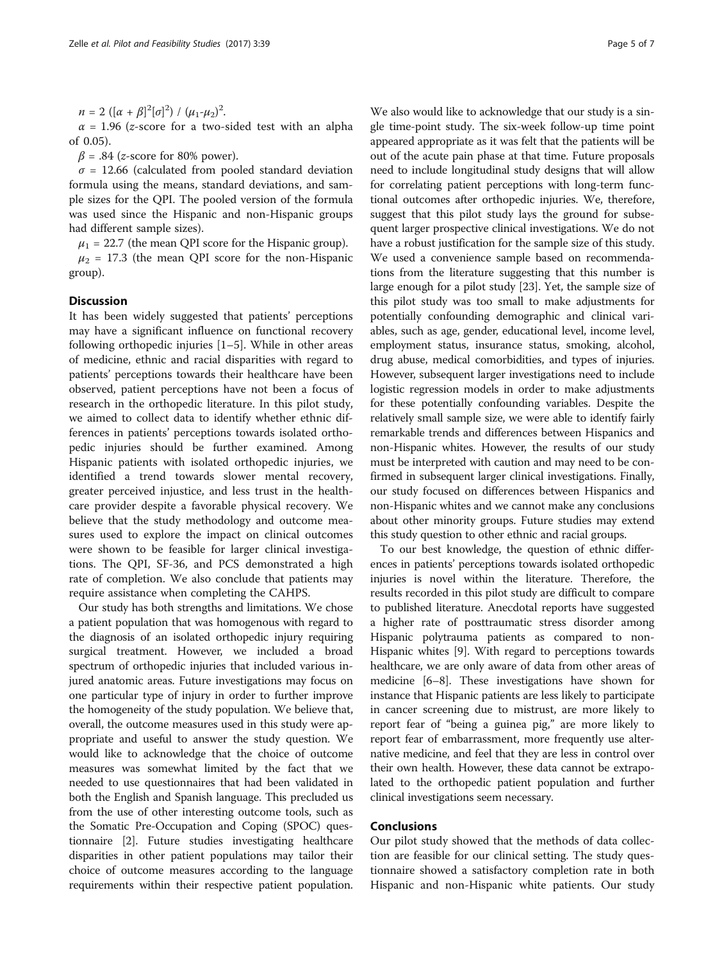$n = 2 ((\alpha + \beta)^2 [\sigma]^2) / (\mu_1 - \mu_2)^2$ .

 $\alpha$  = 1.96 (z-score for a two-sided test with an alpha of 0.05).

 $\beta$  = .84 (*z*-score for 80% power).

 $\sigma$  = 12.66 (calculated from pooled standard deviation formula using the means, standard deviations, and sample sizes for the QPI. The pooled version of the formula was used since the Hispanic and non-Hispanic groups had different sample sizes).

 $\mu_1$  = 22.7 (the mean QPI score for the Hispanic group).

 $\mu_2$  = 17.3 (the mean QPI score for the non-Hispanic group).

#### **Discussion**

It has been widely suggested that patients' perceptions may have a significant influence on functional recovery following orthopedic injuries [[1](#page-5-0)–[5](#page-5-0)]. While in other areas of medicine, ethnic and racial disparities with regard to patients' perceptions towards their healthcare have been observed, patient perceptions have not been a focus of research in the orthopedic literature. In this pilot study, we aimed to collect data to identify whether ethnic differences in patients' perceptions towards isolated orthopedic injuries should be further examined. Among Hispanic patients with isolated orthopedic injuries, we identified a trend towards slower mental recovery, greater perceived injustice, and less trust in the healthcare provider despite a favorable physical recovery. We believe that the study methodology and outcome measures used to explore the impact on clinical outcomes were shown to be feasible for larger clinical investigations. The QPI, SF-36, and PCS demonstrated a high rate of completion. We also conclude that patients may require assistance when completing the CAHPS.

Our study has both strengths and limitations. We chose a patient population that was homogenous with regard to the diagnosis of an isolated orthopedic injury requiring surgical treatment. However, we included a broad spectrum of orthopedic injuries that included various injured anatomic areas. Future investigations may focus on one particular type of injury in order to further improve the homogeneity of the study population. We believe that, overall, the outcome measures used in this study were appropriate and useful to answer the study question. We would like to acknowledge that the choice of outcome measures was somewhat limited by the fact that we needed to use questionnaires that had been validated in both the English and Spanish language. This precluded us from the use of other interesting outcome tools, such as the Somatic Pre-Occupation and Coping (SPOC) questionnaire [[2](#page-5-0)]. Future studies investigating healthcare disparities in other patient populations may tailor their choice of outcome measures according to the language requirements within their respective patient population.

We also would like to acknowledge that our study is a single time-point study. The six-week follow-up time point appeared appropriate as it was felt that the patients will be out of the acute pain phase at that time. Future proposals need to include longitudinal study designs that will allow for correlating patient perceptions with long-term functional outcomes after orthopedic injuries. We, therefore, suggest that this pilot study lays the ground for subsequent larger prospective clinical investigations. We do not have a robust justification for the sample size of this study. We used a convenience sample based on recommendations from the literature suggesting that this number is large enough for a pilot study [\[23\]](#page-6-0). Yet, the sample size of this pilot study was too small to make adjustments for potentially confounding demographic and clinical variables, such as age, gender, educational level, income level, employment status, insurance status, smoking, alcohol, drug abuse, medical comorbidities, and types of injuries. However, subsequent larger investigations need to include logistic regression models in order to make adjustments for these potentially confounding variables. Despite the relatively small sample size, we were able to identify fairly remarkable trends and differences between Hispanics and non-Hispanic whites. However, the results of our study must be interpreted with caution and may need to be confirmed in subsequent larger clinical investigations. Finally, our study focused on differences between Hispanics and non-Hispanic whites and we cannot make any conclusions about other minority groups. Future studies may extend this study question to other ethnic and racial groups.

To our best knowledge, the question of ethnic differences in patients' perceptions towards isolated orthopedic injuries is novel within the literature. Therefore, the results recorded in this pilot study are difficult to compare to published literature. Anecdotal reports have suggested a higher rate of posttraumatic stress disorder among Hispanic polytrauma patients as compared to non-Hispanic whites [\[9](#page-5-0)]. With regard to perceptions towards healthcare, we are only aware of data from other areas of medicine [[6](#page-5-0)–[8](#page-5-0)]. These investigations have shown for instance that Hispanic patients are less likely to participate in cancer screening due to mistrust, are more likely to report fear of "being a guinea pig," are more likely to report fear of embarrassment, more frequently use alternative medicine, and feel that they are less in control over their own health. However, these data cannot be extrapolated to the orthopedic patient population and further clinical investigations seem necessary.

#### Conclusions

Our pilot study showed that the methods of data collection are feasible for our clinical setting. The study questionnaire showed a satisfactory completion rate in both Hispanic and non-Hispanic white patients. Our study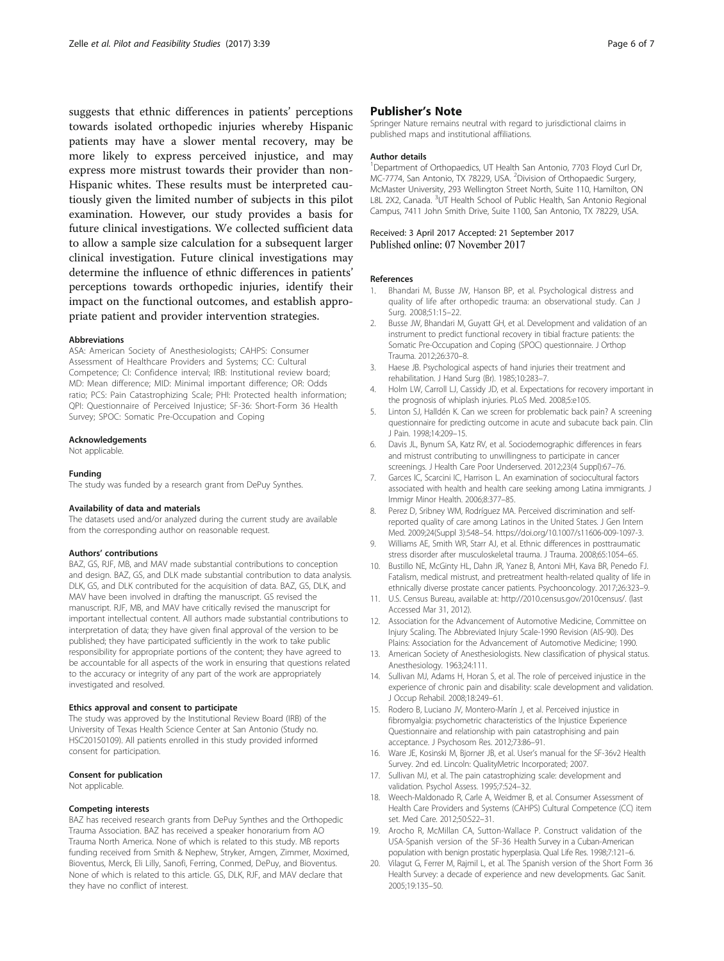<span id="page-5-0"></span>suggests that ethnic differences in patients' perceptions towards isolated orthopedic injuries whereby Hispanic patients may have a slower mental recovery, may be more likely to express perceived injustice, and may express more mistrust towards their provider than non-Hispanic whites. These results must be interpreted cautiously given the limited number of subjects in this pilot examination. However, our study provides a basis for future clinical investigations. We collected sufficient data to allow a sample size calculation for a subsequent larger clinical investigation. Future clinical investigations may determine the influence of ethnic differences in patients' perceptions towards orthopedic injuries, identify their impact on the functional outcomes, and establish appropriate patient and provider intervention strategies.

#### Abbreviations

ASA: American Society of Anesthesiologists; CAHPS: Consumer Assessment of Healthcare Providers and Systems; CC: Cultural Competence; CI: Confidence interval; IRB: Institutional review board; MD: Mean difference; MID: Minimal important difference; OR: Odds ratio; PCS: Pain Catastrophizing Scale; PHI: Protected health information; QPI: Questionnaire of Perceived Injustice; SF-36: Short-Form 36 Health Survey; SPOC: Somatic Pre-Occupation and Coping

#### Acknowledgements

Not applicable.

#### Funding

The study was funded by a research grant from DePuy Synthes.

#### Availability of data and materials

The datasets used and/or analyzed during the current study are available from the corresponding author on reasonable request.

#### Authors' contributions

BAZ, GS, RJF, MB, and MAV made substantial contributions to conception and design. BAZ, GS, and DLK made substantial contribution to data analysis. DLK, GS, and DLK contributed for the acquisition of data. BAZ, GS, DLK, and MAV have been involved in drafting the manuscript. GS revised the manuscript. RJF, MB, and MAV have critically revised the manuscript for important intellectual content. All authors made substantial contributions to interpretation of data; they have given final approval of the version to be published; they have participated sufficiently in the work to take public responsibility for appropriate portions of the content; they have agreed to be accountable for all aspects of the work in ensuring that questions related to the accuracy or integrity of any part of the work are appropriately investigated and resolved.

#### Ethics approval and consent to participate

The study was approved by the Institutional Review Board (IRB) of the University of Texas Health Science Center at San Antonio (Study no. HSC20150109). All patients enrolled in this study provided informed consent for participation.

#### Consent for publication

Not applicable.

#### Competing interests

BAZ has received research grants from DePuy Synthes and the Orthopedic Trauma Association. BAZ has received a speaker honorarium from AO Trauma North America. None of which is related to this study. MB reports funding received from Smith & Nephew, Stryker, Amgen, Zimmer, Moximed, Bioventus, Merck, Eli Lilly, Sanofi, Ferring, Conmed, DePuy, and Bioventus. None of which is related to this article. GS, DLK, RJF, and MAV declare that they have no conflict of interest.

#### Publisher's Note

Springer Nature remains neutral with regard to jurisdictional claims in published maps and institutional affiliations.

#### Author details

<sup>1</sup>Department of Orthopaedics, UT Health San Antonio, 7703 Floyd Curl Dr, MC-7774, San Antonio, TX 78229, USA. <sup>2</sup> Division of Orthopaedic Surgery McMaster University, 293 Wellington Street North, Suite 110, Hamilton, ON L8L 2X2, Canada. <sup>3</sup>UT Health School of Public Health, San Antonio Regional Campus, 7411 John Smith Drive, Suite 1100, San Antonio, TX 78229, USA.

# Received: 3 April 2017 Accepted: 21 September 2017

#### References

- 1. Bhandari M, Busse JW, Hanson BP, et al. Psychological distress and quality of life after orthopedic trauma: an observational study. Can J Surg. 2008;51:15–22.
- 2. Busse JW, Bhandari M, Guyatt GH, et al. Development and validation of an instrument to predict functional recovery in tibial fracture patients: the Somatic Pre-Occupation and Coping (SPOC) questionnaire. J Orthop Trauma. 2012;26:370–8.
- 3. Haese JB. Psychological aspects of hand injuries their treatment and rehabilitation. J Hand Surg (Br). 1985;10:283–7.
- 4. Holm LW, Carroll LJ, Cassidy JD, et al. Expectations for recovery important in the prognosis of whiplash injuries. PLoS Med. 2008;5:e105.
- 5. Linton SJ, Halldén K. Can we screen for problematic back pain? A screening questionnaire for predicting outcome in acute and subacute back pain. Clin J Pain. 1998;14:209–15.
- 6. Davis JL, Bynum SA, Katz RV, et al. Sociodemographic differences in fears and mistrust contributing to unwillingness to participate in cancer screenings. J Health Care Poor Underserved. 2012;23(4 Suppl):67–76.
- 7. Garces IC, Scarcini IC, Harrison L. An examination of sociocultural factors associated with health and health care seeking among Latina immigrants. J Immigr Minor Health. 2006;8:377–85.
- 8. Perez D, Sribney WM, Rodríguez MA. Perceived discrimination and selfreported quality of care among Latinos in the United States. J Gen Intern Med. 2009;24(Suppl 3):548–54. [https://doi.org/10.1007/s11606-009-1097-3](http://dx.doi.org/10.1007/s11606-009-1097-3).
- 9. Williams AE, Smith WR, Starr AJ, et al. Ethnic differences in posttraumatic stress disorder after musculoskeletal trauma. J Trauma. 2008;65:1054–65.
- 10. Bustillo NE, McGinty HL, Dahn JR, Yanez B, Antoni MH, Kava BR, Penedo FJ. Fatalism, medical mistrust, and pretreatment health-related quality of life in ethnically diverse prostate cancer patients. Psychooncology. 2017;26:323–9.
- 11. U.S. Census Bureau, available at:<http://2010.census.gov/2010census/>. (last Accessed Mar 31, 2012).
- 12. Association for the Advancement of Automotive Medicine, Committee on Injury Scaling. The Abbreviated Injury Scale-1990 Revision (AIS-90). Des Plains: Association for the Advancement of Automotive Medicine; 1990.
- 13. American Society of Anesthesiologists. New classification of physical status. Anesthesiology. 1963;24:111.
- 14. Sullivan MJ, Adams H, Horan S, et al. The role of perceived injustice in the experience of chronic pain and disability: scale development and validation. J Occup Rehabil. 2008;18:249–61.
- 15. Rodero B, Luciano JV, Montero-Marín J, et al. Perceived injustice in fibromyalgia: psychometric characteristics of the Injustice Experience Questionnaire and relationship with pain catastrophising and pain acceptance. J Psychosom Res. 2012;73:86–91.
- 16. Ware JE, Kosinski M, Bjorner JB, et al. User's manual for the SF-36v2 Health Survey. 2nd ed. Lincoln: QualityMetric Incorporated; 2007.
- 17. Sullivan MJ, et al. The pain catastrophizing scale: development and validation. Psychol Assess. 1995;7:524–32.
- 18. Weech-Maldonado R, Carle A, Weidmer B, et al. Consumer Assessment of Health Care Providers and Systems (CAHPS) Cultural Competence (CC) item set. Med Care. 2012;50:S22–31.
- 19. Arocho R, McMillan CA, Sutton-Wallace P. Construct validation of the USA-Spanish version of the SF-36 Health Survey in a Cuban-American population with benign prostatic hyperplasia. Qual Life Res. 1998;7:121–6.
- 20. Vilagut G, Ferrer M, Rajmil L, et al. The Spanish version of the Short Form 36 Health Survey: a decade of experience and new developments. Gac Sanit. 2005;19:135–50.